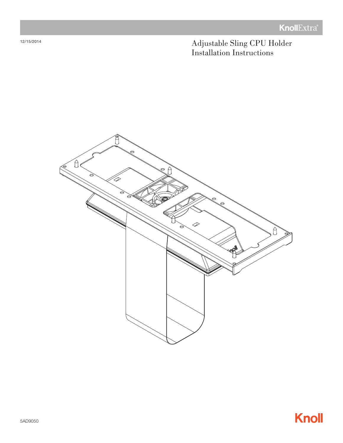Adjustable Sling CPU Holder Installation Instructions





12/15/2014